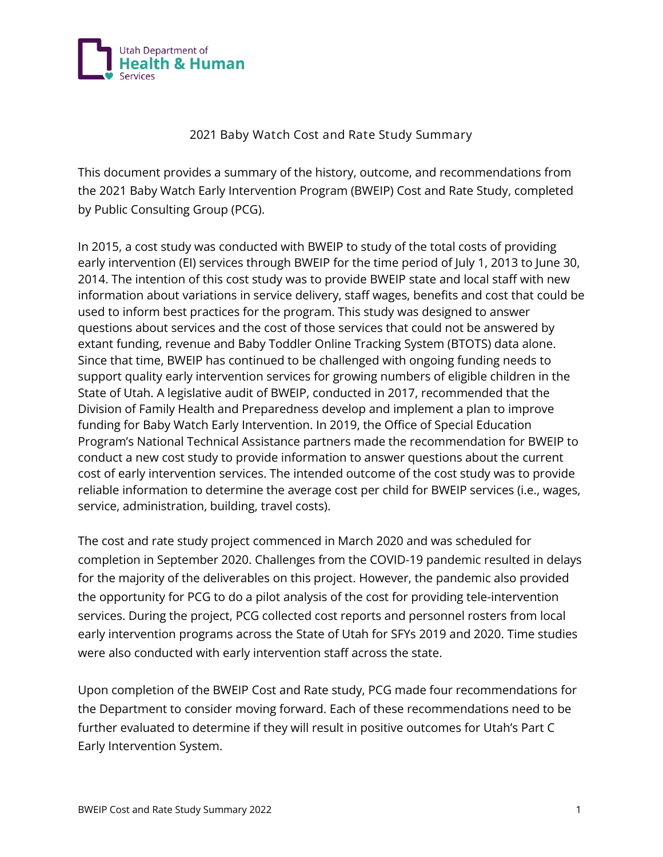

## **2021 Baby Watch Cost and Rate Study Summary**

This document provides a summary of the history, outcome, and recommendations from the 2021 Baby Watch Early Intervention Program (BWEIP) Cost and Rate Study, completed by Public Consulting Group (PCG).

In 2015, a cost study was conducted with BWEIP to study of the total costs of providing early intervention (EI) services through BWEIP for the time period of July 1, 2013 to June 30, 2014. The intention of this cost study was to provide BWEIP state and local staff with new information about variations in service delivery, staff wages, benefits and cost that could be used to inform best practices for the program. This study was designed to answer questions about services and the cost of those services that could not be answered by extant funding, revenue and Baby Toddler Online Tracking System (BTOTS) data alone. Since that time, BWEIP has continued to be challenged with ongoing funding needs to support quality early intervention services for growing numbers of eligible children in the State of Utah. A legislative audit of BWEIP, conducted in 2017, recommended that the Division of Family Health and Preparedness develop and implement a plan to improve funding for Baby Watch Early Intervention. In 2019, the Office of Special Education Program's National Technical Assistance partners made the recommendation for BWEIP to conduct a new cost study to provide information to answer questions about the current cost of early intervention services. The intended outcome of the cost study was to provide reliable information to determine the average cost per child for BWEIP services (i.e., wages, service, administration, building, travel costs).

The cost and rate study project commenced in March 2020 and was scheduled for completion in September 2020. Challenges from the COVID-19 pandemic resulted in delays for the majority of the deliverables on this project. However, the pandemic also provided the opportunity for PCG to do a pilot analysis of the cost for providing tele-intervention services. During the project, PCG collected cost reports and personnel rosters from local early intervention programs across the State of Utah for SFYs 2019 and 2020. Time studies were also conducted with early intervention staff across the state.

Upon completion of the BWEIP Cost and Rate study, PCG made four recommendations for the Department to consider moving forward. Each of these recommendations need to be further evaluated to determine if they will result in positive outcomes for Utah's Part C Early Intervention System.